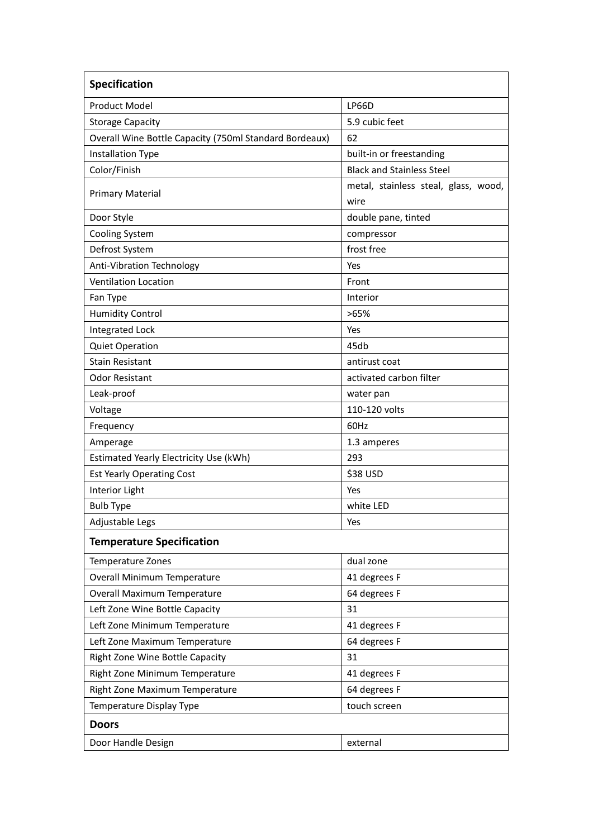| <b>Specification</b>                                   |                                              |
|--------------------------------------------------------|----------------------------------------------|
| <b>Product Model</b>                                   | <b>LP66D</b>                                 |
| <b>Storage Capacity</b>                                | 5.9 cubic feet                               |
| Overall Wine Bottle Capacity (750ml Standard Bordeaux) | 62                                           |
| <b>Installation Type</b>                               | built-in or freestanding                     |
| Color/Finish                                           | <b>Black and Stainless Steel</b>             |
| <b>Primary Material</b>                                | metal, stainless steal, glass, wood,<br>wire |
| Door Style                                             | double pane, tinted                          |
| <b>Cooling System</b>                                  | compressor                                   |
| Defrost System                                         | frost free                                   |
| Anti-Vibration Technology                              | Yes                                          |
| <b>Ventilation Location</b>                            | Front                                        |
| Fan Type                                               | Interior                                     |
| <b>Humidity Control</b>                                | >65%                                         |
| <b>Integrated Lock</b>                                 | Yes                                          |
| <b>Quiet Operation</b>                                 | 45db                                         |
| <b>Stain Resistant</b>                                 | antirust coat                                |
| <b>Odor Resistant</b>                                  | activated carbon filter                      |
| Leak-proof                                             | water pan                                    |
| Voltage                                                | 110-120 volts                                |
| Frequency                                              | 60Hz                                         |
| Amperage                                               | 1.3 amperes                                  |
| Estimated Yearly Electricity Use (kWh)                 | 293                                          |
| <b>Est Yearly Operating Cost</b>                       | \$38 USD                                     |
| Interior Light                                         | Yes                                          |
| <b>Bulb Type</b>                                       | white LED                                    |
| Adjustable Legs                                        | Yes                                          |
| <b>Temperature Specification</b>                       |                                              |
| Temperature Zones                                      | dual zone                                    |
| <b>Overall Minimum Temperature</b>                     | 41 degrees F                                 |
| Overall Maximum Temperature                            | 64 degrees F                                 |
| Left Zone Wine Bottle Capacity                         | 31                                           |
| Left Zone Minimum Temperature                          | 41 degrees F                                 |
| Left Zone Maximum Temperature                          | 64 degrees F                                 |
| Right Zone Wine Bottle Capacity                        | 31                                           |
| Right Zone Minimum Temperature                         | 41 degrees F                                 |
| Right Zone Maximum Temperature                         | 64 degrees F                                 |
| Temperature Display Type                               | touch screen                                 |
| <b>Doors</b>                                           |                                              |
| Door Handle Design                                     | external                                     |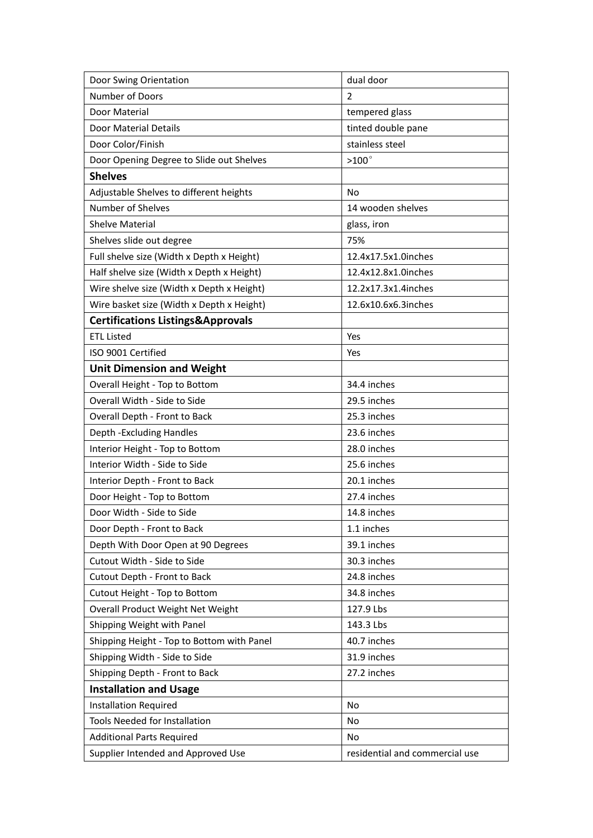| Door Swing Orientation                       | dual door                      |
|----------------------------------------------|--------------------------------|
| <b>Number of Doors</b>                       | 2                              |
| Door Material                                | tempered glass                 |
| <b>Door Material Details</b>                 | tinted double pane             |
| Door Color/Finish                            | stainless steel                |
| Door Opening Degree to Slide out Shelves     | $>100^\circ$                   |
| <b>Shelves</b>                               |                                |
| Adjustable Shelves to different heights      | <b>No</b>                      |
| Number of Shelves                            | 14 wooden shelves              |
| <b>Shelve Material</b>                       | glass, iron                    |
| Shelves slide out degree                     | 75%                            |
| Full shelve size (Width x Depth x Height)    | 12.4x17.5x1.0inches            |
| Half shelve size (Width x Depth x Height)    | 12.4x12.8x1.0inches            |
| Wire shelve size (Width x Depth x Height)    | 12.2x17.3x1.4inches            |
| Wire basket size (Width x Depth x Height)    | 12.6x10.6x6.3inches            |
| <b>Certifications Listings&amp;Approvals</b> |                                |
| <b>ETL Listed</b>                            | Yes                            |
| ISO 9001 Certified                           | Yes                            |
| <b>Unit Dimension and Weight</b>             |                                |
| Overall Height - Top to Bottom               | 34.4 inches                    |
| Overall Width - Side to Side                 | 29.5 inches                    |
| Overall Depth - Front to Back                | 25.3 inches                    |
| Depth - Excluding Handles                    | 23.6 inches                    |
| Interior Height - Top to Bottom              | 28.0 inches                    |
| Interior Width - Side to Side                | 25.6 inches                    |
| Interior Depth - Front to Back               | 20.1 inches                    |
| Door Height - Top to Bottom                  | 27.4 inches                    |
| Door Width - Side to Side                    | 14.8 inches                    |
| Door Depth - Front to Back                   | 1.1 inches                     |
| Depth With Door Open at 90 Degrees           | 39.1 inches                    |
| Cutout Width - Side to Side                  | 30.3 inches                    |
| Cutout Depth - Front to Back                 | 24.8 inches                    |
| Cutout Height - Top to Bottom                | 34.8 inches                    |
| Overall Product Weight Net Weight            | 127.9 Lbs                      |
| Shipping Weight with Panel                   | 143.3 Lbs                      |
| Shipping Height - Top to Bottom with Panel   | 40.7 inches                    |
| Shipping Width - Side to Side                | 31.9 inches                    |
| Shipping Depth - Front to Back               | 27.2 inches                    |
| <b>Installation and Usage</b>                |                                |
| <b>Installation Required</b>                 | No                             |
| <b>Tools Needed for Installation</b>         | <b>No</b>                      |
| <b>Additional Parts Required</b>             | No                             |
| Supplier Intended and Approved Use           | residential and commercial use |